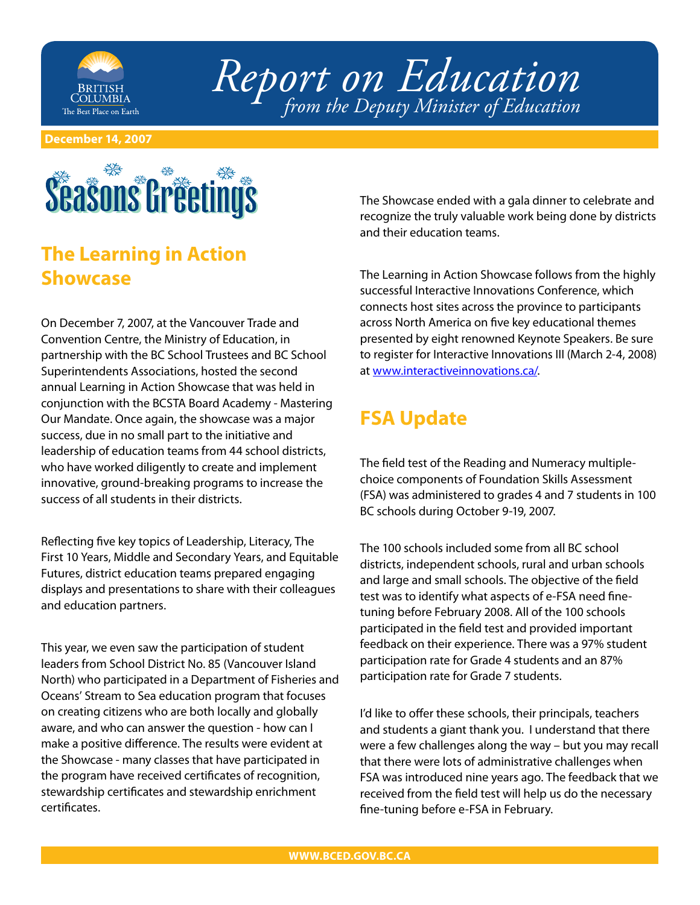

*Report on Education from the Deputy Minister of Education*

**December 14, 2007**

# **Seasons Gréetings**

### **The Learning in Action Showcase**

On December 7, 2007, at the Vancouver Trade and Convention Centre, the Ministry of Education, in partnership with the BC School Trustees and BC School Superintendents Associations, hosted the second annual Learning in Action Showcase that was held in conjunction with the BCSTA Board Academy - Mastering Our Mandate. Once again, the showcase was a major success, due in no small part to the initiative and leadership of education teams from 44 school districts, who have worked diligently to create and implement innovative, ground-breaking programs to increase the success of all students in their districts.

Reflecting five key topics of Leadership, Literacy, The First 10 Years, Middle and Secondary Years, and Equitable Futures, district education teams prepared engaging displays and presentations to share with their colleagues and education partners.

This year, we even saw the participation of student leaders from School District No. 85 (Vancouver Island North) who participated in a Department of Fisheries and Oceans' Stream to Sea education program that focuses on creating citizens who are both locally and globally aware, and who can answer the question - how can I make a positive difference. The results were evident at the Showcase - many classes that have participated in the program have received certificates of recognition, stewardship certificates and stewardship enrichment certificates.

The Showcase ended with a gala dinner to celebrate and recognize the truly valuable work being done by districts and their education teams.

The Learning in Action Showcase follows from the highly successful Interactive Innovations Conference, which connects host sites across the province to participants across North America on five key educational themes presented by eight renowned Keynote Speakers. Be sure to register for Interactive Innovations III (March 2-4, 2008) at [www.interactiveinnovations.ca/.](file://localhost/Users/cmenzies/Documents/Microsoft%20User%20Data/Saved%20Attachments/www.interactiveinnovations.ca/)

## **FSA Update**

The field test of the Reading and Numeracy multiplechoice components of Foundation Skills Assessment (FSA) was administered to grades 4 and 7 students in 100 BC schools during October 9-19, 2007.

The 100 schools included some from all BC school districts, independent schools, rural and urban schools and large and small schools. The objective of the field test was to identify what aspects of e-FSA need finetuning before February 2008. All of the 100 schools participated in the field test and provided important feedback on their experience. There was a 97% student participation rate for Grade 4 students and an 87% participation rate for Grade 7 students.

I'd like to offer these schools, their principals, teachers and students a giant thank you. I understand that there were a few challenges along the way – but you may recall that there were lots of administrative challenges when FSA was introduced nine years ago. The feedback that we received from the field test will help us do the necessary fine-tuning before e-FSA in February.